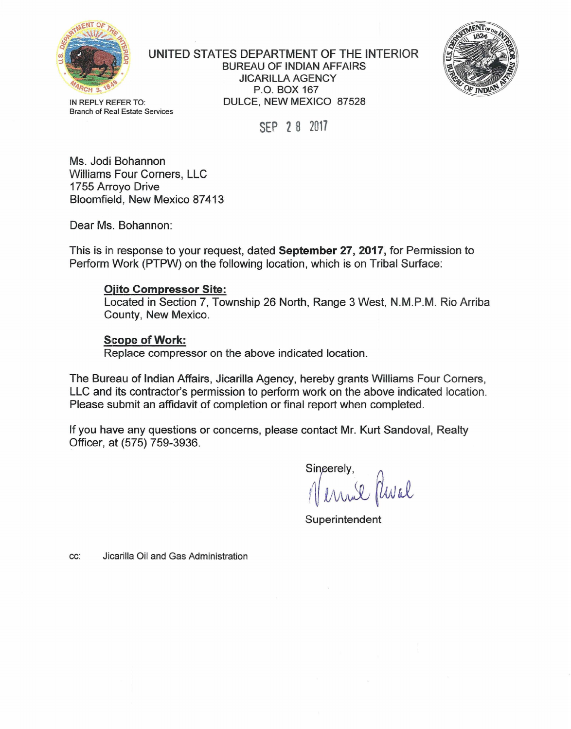

UNITED STATES DEPARTMENT OF THE INTERIOR BUREAU OF INDIAN AFFAIRS JICARILLA AGENCY P.O. BOX 167 IN REPLY REFER TO: DULCE, NEW MEXICO 87528



Branch of Real Estate Services

SEP 2 B 2017

Ms. Jodi Bohannon Williams Four Corners, LLC 1755 Arroyo Drive Bloomfield, New Mexico 87413

Dear Ms. Bohannon:

This is in response to your request, dated September 27, 2017, for Permission to Perform Work (PTPW) on the following location, which is on Tribal Surface:

## Ojito Compressor Site:

Located in Section 7, Township 26 North, Range 3 West, N.M.P.M. Rio Arriba County, New Mexico.

## Scope of Work:

Replace compressor on the above indicated location.

The Bureau of Indian Affairs, Jicarilla Agency, hereby grants Williams Four Corners, LLC and its contractor's permission to perform work on the above indicated location. Please submit an affidavit of completion or final report when completed.

If you have any questions or concerns, please contact Mr. Kurt Sandoval, Realty Officer, at (575) 759-3936.

Singerely, Vernie Phial

**Superintendent** 

cc: Jicarilla Oil and Gas Administration